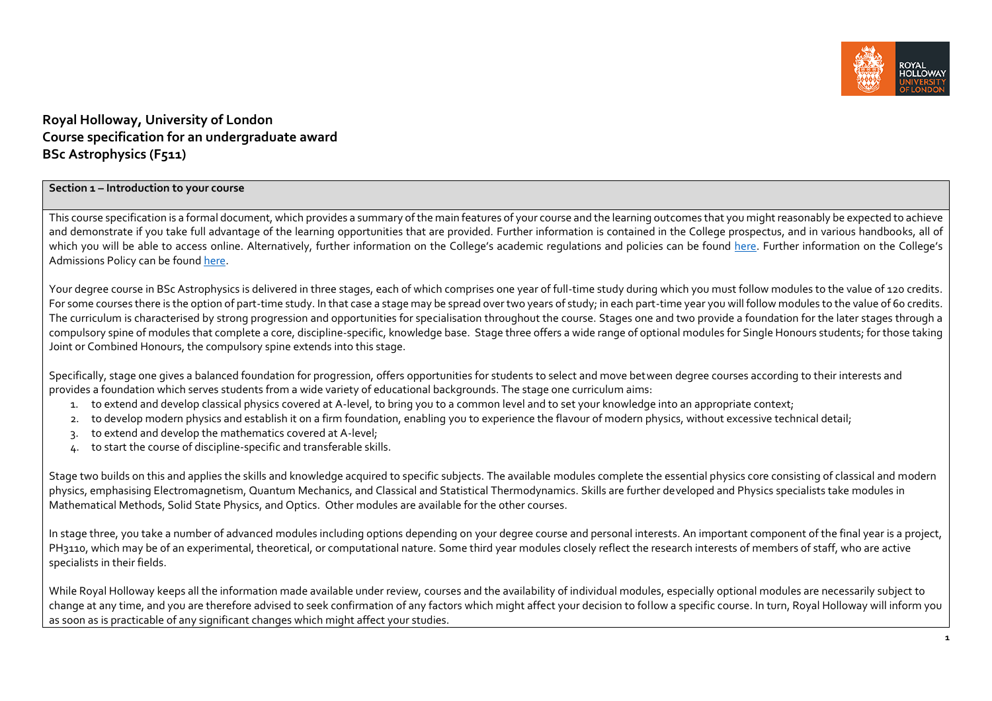

## **Royal Holloway, University of London Course specification for an undergraduate award BSc Astrophysics (F511)**

#### **Section 1 – Introduction to your course**

This course specification is a formal document, which provides a summary of the main features of your course and the learning outcomes that you might reasonably be expected to achieve and demonstrate if you take full advantage of the learning opportunities that are provided. Further information is contained in the College prospectus, and in various handbooks, all of which you will be able to access online. Alternatively, further information on the College's academic regulations and policies can be found [here.](https://intranet.royalholloway.ac.uk/staff/teaching/aqpo/academic-regulations-and-policies/academic-regulations-and-policies.aspx) Further information on the College's Admissions Policy can be found [here.](https://www.royalholloway.ac.uk/studying-here/applying/admissions-policy-and-procedures/)

Your degree course in BSc Astrophysics is delivered in three stages, each of which comprises one year of full-time study during which you must follow modules to the value of 120 credits. For some courses there is the option of part-time study. In that case a stage may be spread over two years of study; in each part-time year you will follow modules to the value of 60 credits. The curriculum is characterised by strong progression and opportunities for specialisation throughout the course. Stages one and two provide a foundation for the later stages through a compulsory spine of modules that complete a core, discipline-specific, knowledge base. Stage three offers a wide range of optional modules for Single Honours students; for those taking Joint or Combined Honours, the compulsory spine extends into this stage.

Specifically, stage one gives a balanced foundation for progression, offers opportunities for students to select and move between degree courses according to their interests and provides a foundation which serves students from a wide variety of educational backgrounds. The stage one curriculum aims:

- 1. to extend and develop classical physics covered at A-level, to bring you to a common level and to set your knowledge into an appropriate context;
- 2. to develop modern physics and establish it on a firm foundation, enabling you to experience the flavour of modern physics, without excessive technical detail;
- 3. to extend and develop the mathematics covered at A-level;
- 4. to start the course of discipline-specific and transferable skills.

Stage two builds on this and applies the skills and knowledge acquired to specific subjects. The available modules complete the essential physics core consisting of classical and modern physics, emphasising Electromagnetism, Quantum Mechanics, and Classical and Statistical Thermodynamics. Skills are further developed and Physics specialists take modules in Mathematical Methods, Solid State Physics, and Optics. Other modules are available for the other courses.

In stage three, you take a number of advanced modules including options depending on your degree course and personal interests. An important component of the final year is a project, PH3110, which may be of an experimental, theoretical, or computational nature. Some third year modules closely reflect the research interests of members of staff, who are active specialists in their fields.

While Royal Holloway keeps all the information made available under review, courses and the availability of individual modules, especially optional modules are necessarily subject to change at any time, and you are therefore advised to seek confirmation of any factors which might affect your decision to follow a specific course. In turn, Royal Holloway will inform you as soon as is practicable of any significant changes which might affect your studies.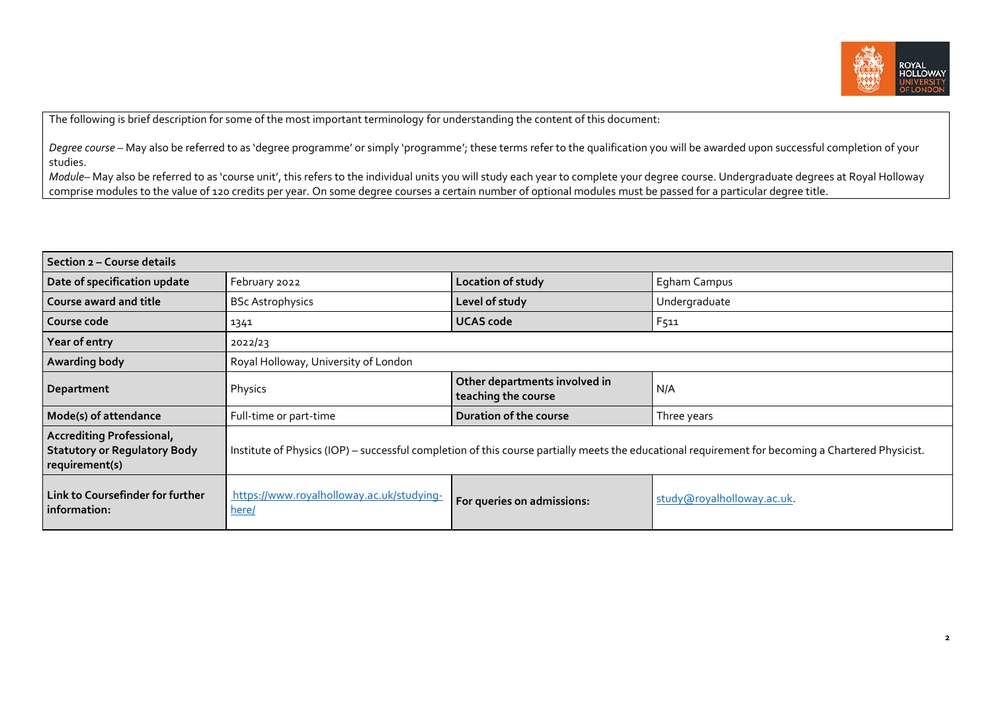

The following is brief description for some of the most important terminology for understanding the content of this document:

Degree course – May also be referred to as 'degree programme' or simply 'programme'; these terms refer to the qualification you will be awarded upon successful completion of your studies.

*Module*– May also be referred to as 'course unit', this refers to the individual units you will study each year to complete your degree course. Undergraduate degrees at Royal Holloway comprise modules to the value of 120 credits per year. On some degree courses a certain number of optional modules must be passed for a particular degree title.

| Section 2 – Course details                                                                                                                                                                                                                     |                                                    |                                                      |                           |  |
|------------------------------------------------------------------------------------------------------------------------------------------------------------------------------------------------------------------------------------------------|----------------------------------------------------|------------------------------------------------------|---------------------------|--|
| Date of specification update                                                                                                                                                                                                                   | February 2022                                      | Location of study                                    | Egham Campus              |  |
| <b>Course award and title</b>                                                                                                                                                                                                                  | <b>BSc Astrophysics</b>                            | Level of study                                       | Undergraduate             |  |
| Course code                                                                                                                                                                                                                                    | 1341                                               | <b>UCAS code</b>                                     | F511                      |  |
| Year of entry                                                                                                                                                                                                                                  | 2022/23                                            |                                                      |                           |  |
| <b>Awarding body</b>                                                                                                                                                                                                                           | Royal Holloway, University of London               |                                                      |                           |  |
| Department                                                                                                                                                                                                                                     | Physics                                            | Other departments involved in<br>teaching the course | N/A                       |  |
| Mode(s) of attendance                                                                                                                                                                                                                          | Full-time or part-time                             | Duration of the course                               | Three years               |  |
| <b>Accrediting Professional,</b><br><b>Statutory or Regulatory Body</b><br>Institute of Physics (IOP) - successful completion of this course partially meets the educational requirement for becoming a Chartered Physicist.<br>requirement(s) |                                                    |                                                      |                           |  |
| Link to Coursefinder for further<br>information:                                                                                                                                                                                               | https://www.royalholloway.ac.uk/studying-<br>here/ | For queries on admissions:                           | study@royalholloway.ac.uk |  |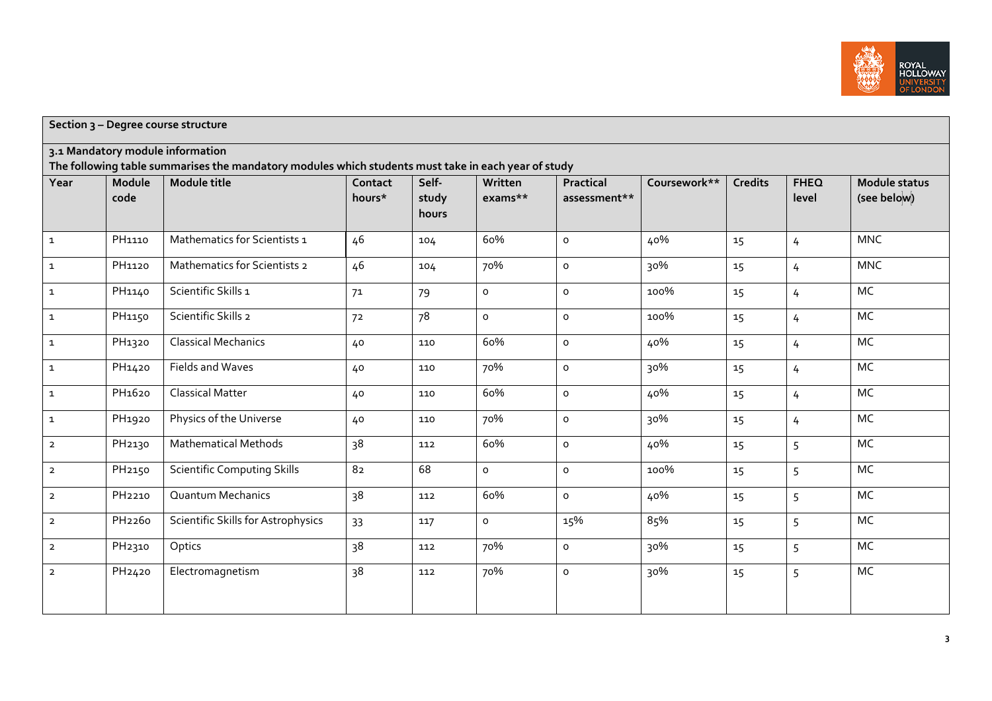

|                |                    | Section 3 - Degree course structure                                                                                 |                   |                         |                    |                           |              |                |                      |                                     |
|----------------|--------------------|---------------------------------------------------------------------------------------------------------------------|-------------------|-------------------------|--------------------|---------------------------|--------------|----------------|----------------------|-------------------------------------|
|                |                    | 3.1 Mandatory module information                                                                                    |                   |                         |                    |                           |              |                |                      |                                     |
| Year           | Module<br>code     | The following table summarises the mandatory modules which students must take in each year of study<br>Module title | Contact<br>hours* | Self-<br>study<br>hours | Written<br>exams** | Practical<br>assessment** | Coursework** | <b>Credits</b> | <b>FHEQ</b><br>level | <b>Module status</b><br>(see below) |
| $\mathbf 1$    | PH1110             | Mathematics for Scientists 1                                                                                        | 46                | 104                     | 60%                | $\mathsf{o}\xspace$       | 40%          | 15             | $\overline{4}$       | <b>MNC</b>                          |
| $\mathbf{1}$   | PH1120             | Mathematics for Scientists 2                                                                                        | 46                | 104                     | 70%                | $\mathsf{o}\xspace$       | 30%          | 15             | $\overline{4}$       | <b>MNC</b>                          |
| $\mathbf 1$    | PH1140             | Scientific Skills 1                                                                                                 | 7 <sup>1</sup>    | 79                      | $\circ$            | $\mathsf{o}$              | 100%         | 15             | $\overline{4}$       | MC                                  |
| $\mathbf 1$    | PH1150             | Scientific Skills 2                                                                                                 | 7 <sup>2</sup>    | 78                      | $\mathsf{o}$       | $\mathsf{o}\xspace$       | 100%         | 15             | $\overline{4}$       | MC                                  |
| $\mathbf{1}$   | PH1320             | <b>Classical Mechanics</b>                                                                                          | 40                | 110                     | 60%                | $\circ$                   | 40%          | 15             | $\overline{4}$       | MC                                  |
| $\mathbf 1$    | PH1420             | Fields and Waves                                                                                                    | 40                | 110                     | 70%                | $\mathsf{o}\xspace$       | 30%          | 15             | $\overline{4}$       | <b>MC</b>                           |
| $\mathbf 1$    | PH <sub>1620</sub> | <b>Classical Matter</b>                                                                                             | 40                | 110                     | 60%                | $\mathsf{o}$              | 40%          | 15             | $\overline{4}$       | MC                                  |
| $\mathbf{1}$   | PH1920             | Physics of the Universe                                                                                             | 40                | 110                     | 70%                | $\mathsf{o}\,$            | 30%          | 15             | $\overline{4}$       | MC                                  |
| $\overline{2}$ | PH <sub>2130</sub> | <b>Mathematical Methods</b>                                                                                         | 38                | 112                     | 60%                | $\mathsf{o}\,$            | 40%          | 15             | 5                    | MC                                  |
| $\overline{2}$ | PH <sub>2150</sub> | <b>Scientific Computing Skills</b>                                                                                  | 82                | 68                      | $\circ$            | $\mathsf{o}\,$            | 100%         | 15             | 5                    | MC                                  |
| $\overline{2}$ | PH <sub>2210</sub> | <b>Quantum Mechanics</b>                                                                                            | 38                | 112                     | 60%                | $\circ$                   | 40%          | 15             | 5                    | MC                                  |
| $\overline{2}$ | PH <sub>2260</sub> | Scientific Skills for Astrophysics                                                                                  | 33                | 117                     | $\circ$            | 15%                       | 85%          | 15             | 5                    | MC                                  |
| $\overline{2}$ | PH <sub>2310</sub> | Optics                                                                                                              | 38                | 112                     | 70%                | $\mathsf{o}\xspace$       | 30%          | 15             | 5                    | MC                                  |
| $\overline{2}$ | PH <sub>2420</sub> | Electromagnetism                                                                                                    | 38                | 112                     | 70%                | $\mathsf{o}\xspace$       | 30%          | 15             | 5                    | MC                                  |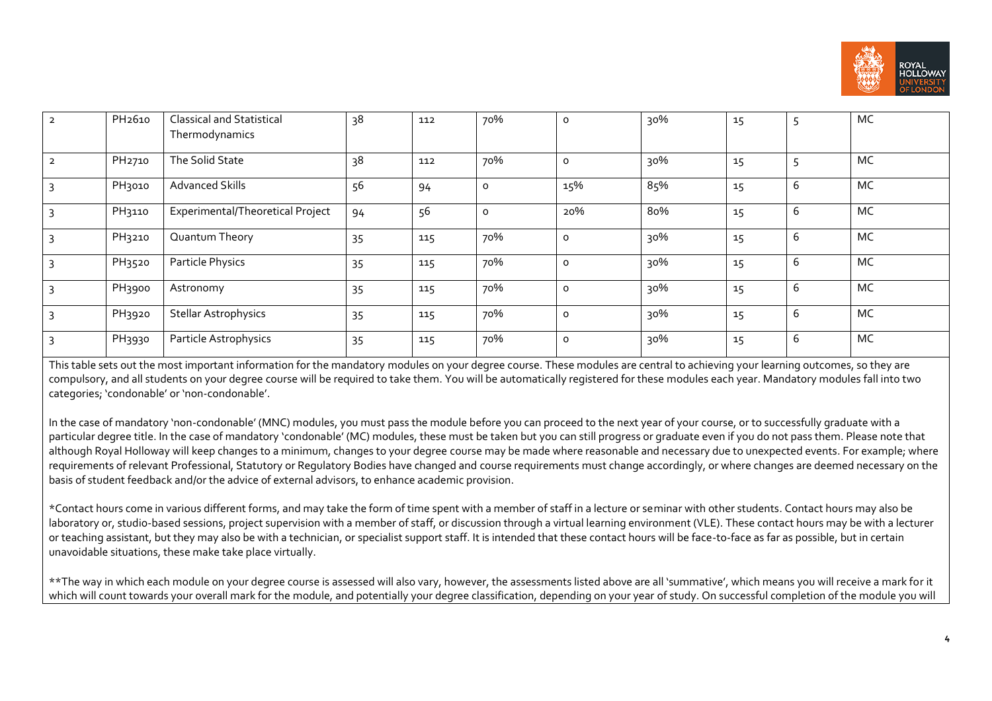

| $\overline{2}$ | PH <sub>2610</sub> | <b>Classical and Statistical</b> | 38 | 112 | 70%     | $\circ$ | 30% | 15 | ⊃ | MC |
|----------------|--------------------|----------------------------------|----|-----|---------|---------|-----|----|---|----|
|                |                    | Thermodynamics                   |    |     |         |         |     |    |   |    |
| $\overline{2}$ | PH <sub>2710</sub> | The Solid State                  | 38 | 112 | 70%     | $\circ$ | 30% | 15 |   | MC |
|                | PH <sub>3010</sub> | <b>Advanced Skills</b>           | 56 | 94  | $\circ$ | 15%     | 85% | 15 | 6 | MC |
|                | PH3110             | Experimental/Theoretical Project | 94 | 56  | $\circ$ | 20%     | 80% | 15 | 6 | MC |
|                | PH3210             | Quantum Theory                   | 35 | 115 | 70%     | $\circ$ | 30% | 15 | 6 | MC |
|                | PH3520             | Particle Physics                 | 35 | 115 | 70%     | $\circ$ | 30% | 15 | 6 | MC |
|                | PH3900             | Astronomy                        | 35 | 115 | 70%     | $\circ$ | 30% | 15 | 6 | MC |
| 3              | PH3920             | <b>Stellar Astrophysics</b>      | 35 | 115 | 70%     | $\circ$ | 30% | 15 | 6 | MC |
|                | PH3930             | Particle Astrophysics            | 35 | 115 | 70%     | $\circ$ | 30% | 15 | 6 | MC |

This table sets out the most important information for the mandatory modules on your degree course. These modules are central to achieving your learning outcomes, so they are compulsory, and all students on your degree course will be required to take them. You will be automatically registered for these modules each year. Mandatory modules fall into two categories; 'condonable' or 'non-condonable'.

In the case of mandatory 'non-condonable' (MNC) modules, you must pass the module before you can proceed to the next year of your course, or to successfully graduate with a particular degree title. In the case of mandatory 'condonable' (MC) modules, these must be taken but you can still progress or graduate even if you do not pass them. Please note that although Royal Holloway will keep changes to a minimum, changes to your degree course may be made where reasonable and necessary due to unexpected events. For example, where requirements of relevant Professional, Statutory or Regulatory Bodies have changed and course requirements must change accordingly, or where changes are deemed necessary on the basis of student feedback and/or the advice of external advisors, to enhance academic provision.

\*Contact hours come in various different forms, and may take the form of time spent with a member of staff in a lecture or seminar with other students. Contact hours may also be laboratory or, studio-based sessions, project supervision with a member of staff, or discussion through a virtual learning environment (VLE). These contact hours may be with a lecturer or teaching assistant, but they may also be with a technician, or specialist support staff. It is intended that these contact hours will be face-to-face as far as possible, but in certain unavoidable situations, these make take place virtually.

\*\*The way in which each module on your degree course is assessed will also vary, however, the assessments listed above are all 'summative', which means you will receive a mark for it which will count towards your overall mark for the module, and potentially your degree classification, depending on your year of study. On successful completion of the module you will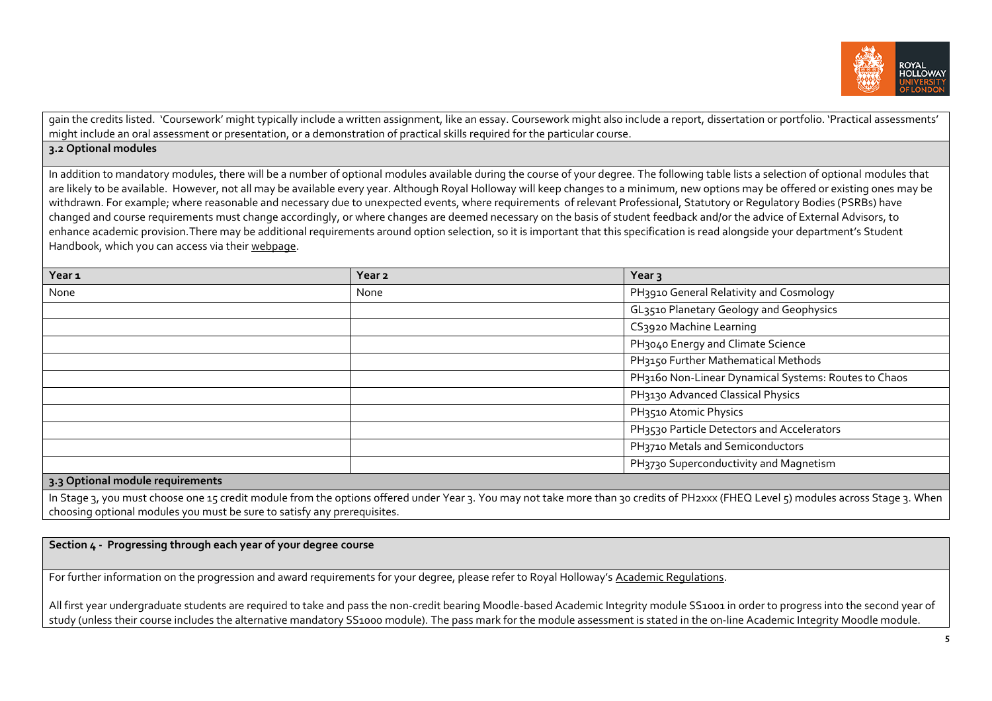

gain the credits listed. 'Coursework' might typically include a written assignment, like an essay. Coursework might also include a report, dissertation or portfolio. 'Practical assessments' might include an oral assessment or presentation, or a demonstration of practical skills required for the particular course.

## **3.2 Optional modules**

In addition to mandatory modules, there will be a number of optional modules available during the course of your degree. The following table lists a selection of optional modules that are likely to be available. However, not all may be available every year. Although Royal Holloway will keep changes to a minimum, new options may be offered or existing ones may be withdrawn. For example; where reasonable and necessary due to unexpected events, where requirements of relevant Professional, Statutory or Regulatory Bodies (PSRBs) have changed and course requirements must change accordingly, or where changes are deemed necessary on the basis of student feedback and/or the advice of External Advisors, to enhance academic provision.There may be additional requirements around option selection, so it is important that this specification is read alongside your department's Student Handbook, which you can access via thei[r webpage.](https://www.royalholloway.ac.uk/research-and-teaching/departments-and-schools/physics/) 

| Year <sub>1</sub>             | Year <sub>2</sub> | Year <sub>3</sub>                                    |
|-------------------------------|-------------------|------------------------------------------------------|
| None                          | None              | PH3910 General Relativity and Cosmology              |
|                               |                   | GL3510 Planetary Geology and Geophysics              |
|                               |                   | CS3920 Machine Learning                              |
|                               |                   | PH3040 Energy and Climate Science                    |
|                               |                   | PH3150 Further Mathematical Methods                  |
|                               |                   | PH3160 Non-Linear Dynamical Systems: Routes to Chaos |
|                               |                   | PH3130 Advanced Classical Physics                    |
|                               |                   | PH3510 Atomic Physics                                |
|                               |                   | PH3530 Particle Detectors and Accelerators           |
|                               |                   | PH3710 Metals and Semiconductors                     |
|                               |                   | PH3730 Superconductivity and Magnetism               |
| continual module requirements |                   |                                                      |

#### **3.3 Optional module requirements**

In Stage 3, you must choose one 15 credit module from the options offered under Year 3. You may not take more than 30 credits of PH2xxx (FHEQ Level 5) modules across Stage 3. When choosing optional modules you must be sure to satisfy any prerequisites.

**Section 4 - Progressing through each year of your degree course**

For further information on the progression and award requirements for your degree, please refer to Royal Holloway's [Academic Regulations.](https://www.royalholloway.ac.uk/students/study/our-college-regulations/attendance-and-academic-regulations.aspx)

All first year undergraduate students are required to take and pass the non-credit bearing Moodle-based Academic Integrity module SS1001 in order to progress into the second year of study (unless their course includes the alternative mandatory SS1000 module). The pass mark for the module assessment is stated in the on-line Academic Integrity Moodle module.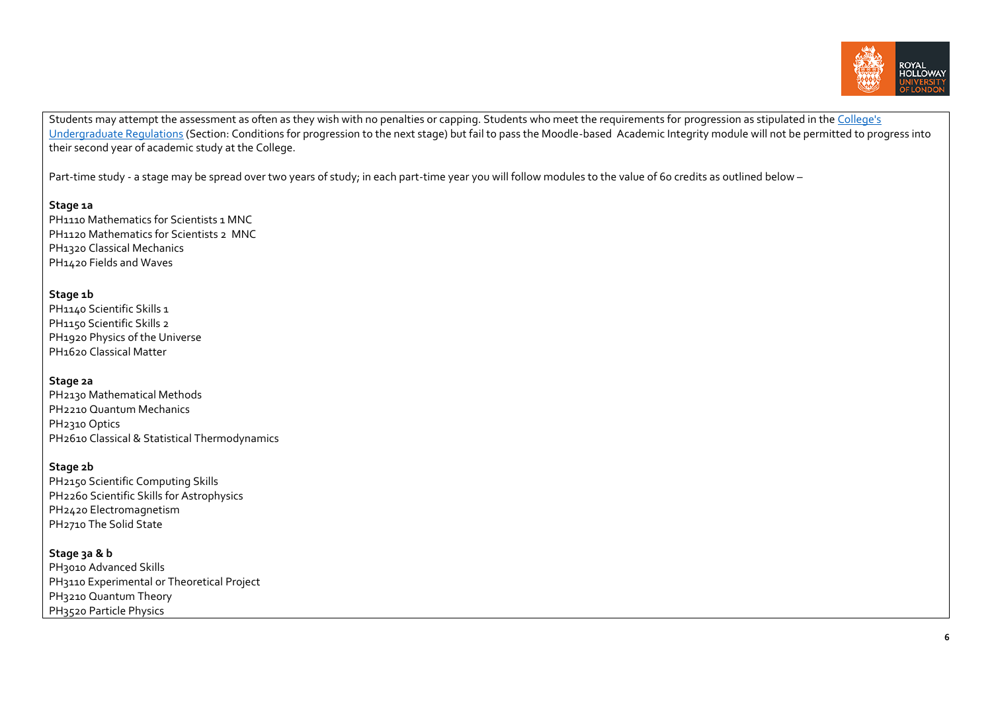

Students may attempt the assessment as often as they wish with no penalties or capping. Students who meet the requirements for progression as stipulated in the College's [Undergraduate Regulations](https://eur03.safelinks.protection.outlook.com/?url=http%3A%2F%2Fwww.rhul.ac.uk%2Fforstudents%2Fstudying%2Facademicregulations%2Fhome.aspx&data=04%7C01%7CLee.Sheriston%40rhul.ac.uk%7Ccdef6ae6e5f24daf198f08da0c098fd9%7C2efd699a19224e69b601108008d28a2e%7C0%7C0%7C637835532442934224%7CUnknown%7CTWFpbGZsb3d8eyJWIjoiMC4wLjAwMDAiLCJQIjoiV2luMzIiLCJBTiI6Ik1haWwiLCJXVCI6Mn0%3D%7C3000&sdata=817sPHzroi3F75jvI2HUywhf8l9oJbiJFbdy0xek42E%3D&reserved=0) (Section: Conditions for progression to the next stage) but fail to pass the Moodle-based Academic Integrity module will not be permitted to progress into their second year of academic study at the College.

Part-time study - a stage may be spread over two years of study; in each part-time year you will follow modules to the value of 60 credits as outlined below -

#### **Stage 1a**

PH1110 Mathematics for Scientists 1 MNC PH1120 Mathematics for Scientists 2 MNC PH1320 Classical Mechanics PH1420 Fields and Waves

## **Stage 1b**

PH<sub>1140</sub> Scientific Skills 1 PH1150 Scientific Skills 2 PH1920 Physics of the Universe PH1620 Classical Matter

#### **Stage 2a**

| PH2130 Mathematical Methods                   |
|-----------------------------------------------|
| PH <sub>2210</sub> Quantum Mechanics          |
| PH <sub>2310</sub> Optics                     |
| PH2610 Classical & Statistical Thermodynamics |

### **Stage 2b**

PH2150 Scientific Computing Skills PH2260 Scientific Skills for Astrophysics PH2420 Electromagnetism PH2710 The Solid State

## **Stage 3a & b**

PH3010 Advanced Skills PH3110 Experimental or Theoretical Project PH3210 Quantum Theory PH<sub>3520</sub> Particle Physics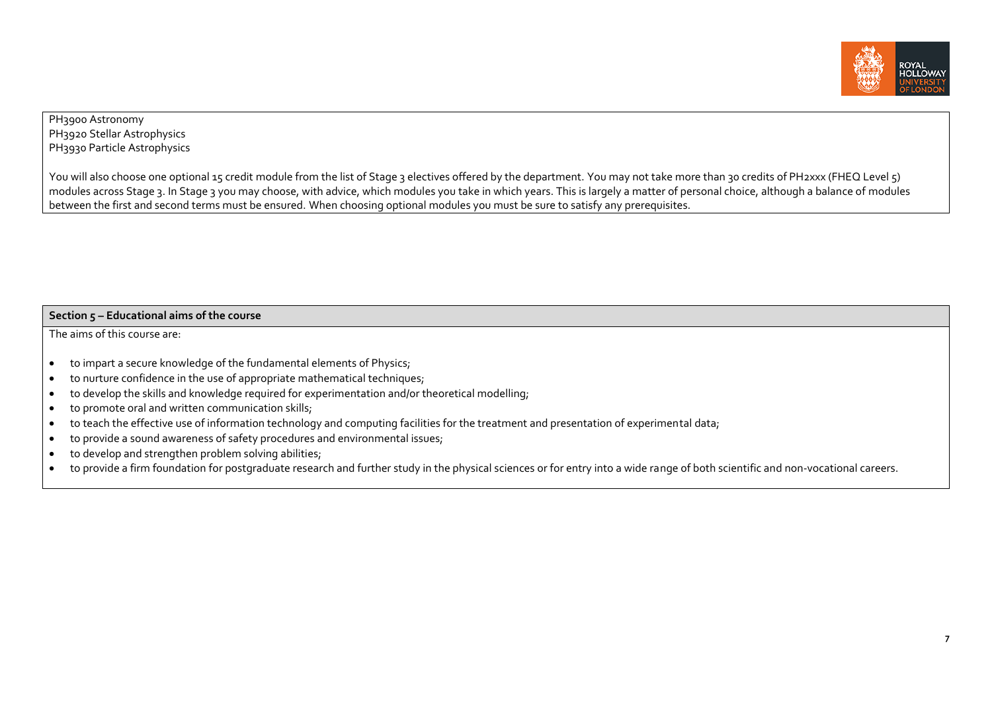

## PH3900 Astronomy PH3920 Stellar Astrophysics PH3930 Particle Astrophysics

You will also choose one optional 15 credit module from the list of Stage 3 electives offered by the department. You may not take more than 30 credits of PH2xxx (FHEQ Level 5) modules across Stage 3. In Stage 3 you may choose, with advice, which modules you take in which years. This is largely a matter of personal choice, although a balance of modules between the first and second terms must be ensured. When choosing optional modules you must be sure to satisfy any prerequisites.

#### **Section 5 – Educational aims of the course**

The aims of this course are:

- to impart a secure knowledge of the fundamental elements of Physics;
- to nurture confidence in the use of appropriate mathematical techniques;
- to develop the skills and knowledge required for experimentation and/or theoretical modelling;
- to promote oral and written communication skills;
- to teach the effective use of information technology and computing facilities for the treatment and presentation of experimental data;
- to provide a sound awareness of safety procedures and environmental issues;
- to develop and strengthen problem solving abilities;
- to provide a firm foundation for postgraduate research and further study in the physical sciences or for entry into a wide range of both scientific and non-vocational careers.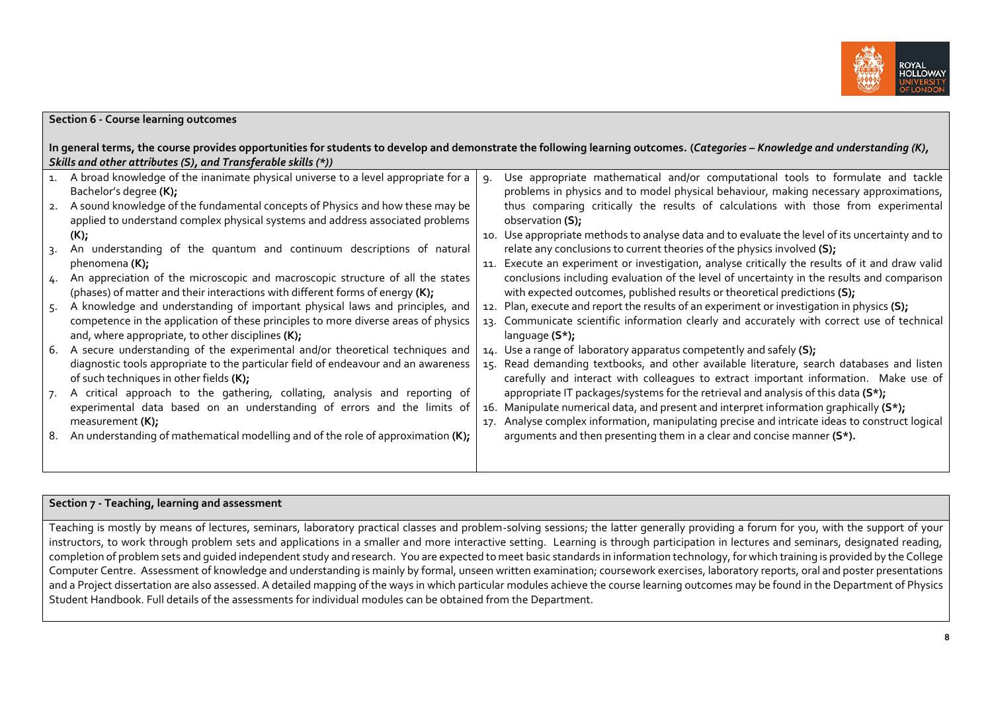

## **Section 6 - Course learning outcomes**

| In general terms, the course provides opportunities for students to develop and demonstrate the following learning outcomes. (Categories - Knowledge and understanding (K), |
|-----------------------------------------------------------------------------------------------------------------------------------------------------------------------------|
| Skills and other attributes (S), and Transferable skills $(*)$ )                                                                                                            |

|                 | A broad knowledge of the inanimate physical universe to a level appropriate for a  | ٩. | Use appropriate mathematical and/or computational tools to formulate and tackle                 |
|-----------------|------------------------------------------------------------------------------------|----|-------------------------------------------------------------------------------------------------|
|                 | Bachelor's degree (K);                                                             |    | problems in physics and to model physical behaviour, making necessary approximations,           |
|                 | 2. A sound knowledge of the fundamental concepts of Physics and how these may be   |    | thus comparing critically the results of calculations with those from experimental              |
|                 | applied to understand complex physical systems and address associated problems     |    | observation (S);                                                                                |
|                 | $(K)$ ;                                                                            |    | 10. Use appropriate methods to analyse data and to evaluate the level of its uncertainty and to |
| $\mathcal{R}$ . | An understanding of the quantum and continuum descriptions of natural              |    | relate any conclusions to current theories of the physics involved (S);                         |
|                 | phenomena (K);                                                                     |    | 11. Execute an experiment or investigation, analyse critically the results of it and draw valid |
|                 | 4. An appreciation of the microscopic and macroscopic structure of all the states  |    | conclusions including evaluation of the level of uncertainty in the results and comparison      |
|                 | (phases) of matter and their interactions with different forms of energy $(K)$ ;   |    | with expected outcomes, published results or theoretical predictions (S);                       |
| 5.              | A knowledge and understanding of important physical laws and principles, and       |    | 12. Plan, execute and report the results of an experiment or investigation in physics (S);      |
|                 | competence in the application of these principles to more diverse areas of physics |    | 13. Communicate scientific information clearly and accurately with correct use of technical     |
|                 | and, where appropriate, to other disciplines (K);                                  |    | language $(S^*)$ ;                                                                              |
|                 | 6. A secure understanding of the experimental and/or theoretical techniques and    |    | 14. Use a range of laboratory apparatus competently and safely (S);                             |
|                 | diagnostic tools appropriate to the particular field of endeavour and an awareness |    | 15. Read demanding textbooks, and other available literature, search databases and listen       |
|                 | of such techniques in other fields (K);                                            |    | carefully and interact with colleagues to extract important information. Make use of            |
|                 | A critical approach to the gathering, collating, analysis and reporting of         |    | appropriate IT packages/systems for the retrieval and analysis of this data (S*);               |
|                 | experimental data based on an understanding of errors and the limits of            |    | 16. Manipulate numerical data, and present and interpret information graphically $(S^*)$ ;      |
|                 | measurement $(K)$ ;                                                                |    | 17. Analyse complex information, manipulating precise and intricate ideas to construct logical  |
| 8.              | An understanding of mathematical modelling and of the role of approximation (K);   |    | arguments and then presenting them in a clear and concise manner (S*).                          |
|                 |                                                                                    |    |                                                                                                 |
|                 |                                                                                    |    |                                                                                                 |

## **Section 7 - Teaching, learning and assessment**

Teaching is mostly by means of lectures, seminars, laboratory practical classes and problem-solving sessions; the latter generally providing a forum for you, with the support of your instructors, to work through problem sets and applications in a smaller and more interactive setting. Learning is through participation in lectures and seminars, designated reading, completion of problem sets and guided independent study and research. You are expected to meet basic standards in information technology, for which training is provided by the College Computer Centre. Assessment of knowledge and understanding is mainly by formal, unseen written examination; coursework exercises, laboratory reports, oral and poster presentations and a Project dissertation are also assessed. A detailed mapping of the ways in which particular modules achieve the course learning outcomes may be found in the Department of Physics Student Handbook. Full details of the assessments for individual modules can be obtained from the Department.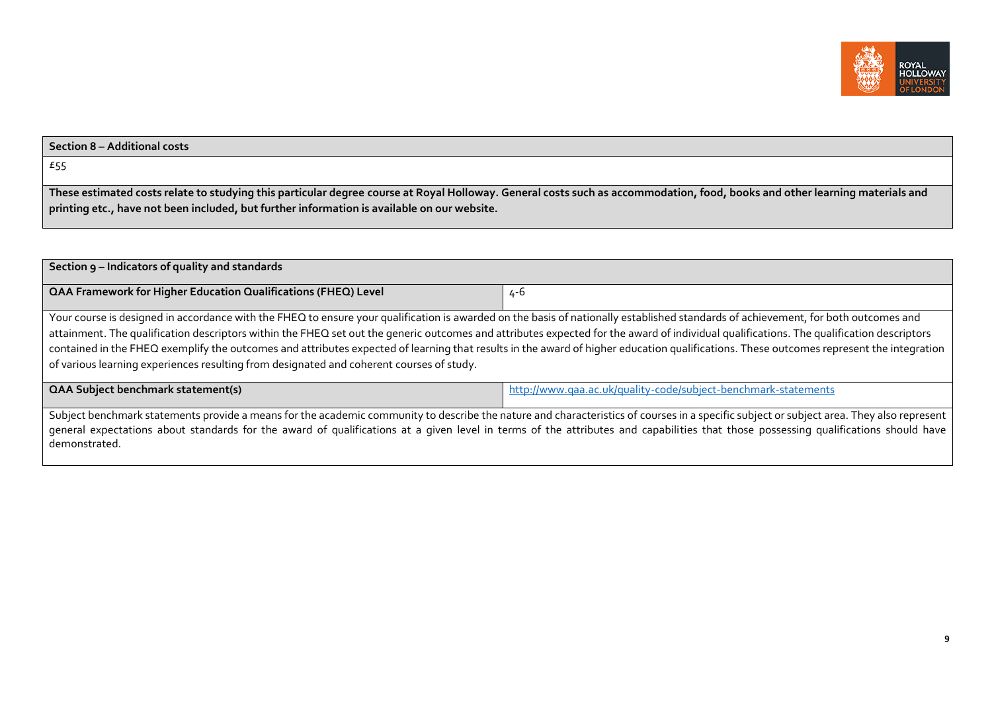

# **Section 8 – Additional costs** £55 **These estimated costs relate to studying this particular degree course at Royal Holloway. General costs such as accommodation, food, books and other learning materials and printing etc., have not been included, but further information is available on our website.**

| Section 9 – Indicators of quality and standards                                                                                                                                                                                                                                                                                                                                                                                                                                                                                                                                                                                                                       |                                                                |  |  |  |  |  |
|-----------------------------------------------------------------------------------------------------------------------------------------------------------------------------------------------------------------------------------------------------------------------------------------------------------------------------------------------------------------------------------------------------------------------------------------------------------------------------------------------------------------------------------------------------------------------------------------------------------------------------------------------------------------------|----------------------------------------------------------------|--|--|--|--|--|
| QAA Framework for Higher Education Qualifications (FHEQ) Level                                                                                                                                                                                                                                                                                                                                                                                                                                                                                                                                                                                                        | 4-6                                                            |  |  |  |  |  |
| Your course is designed in accordance with the FHEQ to ensure your qualification is awarded on the basis of nationally established standards of achievement, for both outcomes and<br>attainment. The qualification descriptors within the FHEQ set out the generic outcomes and attributes expected for the award of individual qualifications. The qualification descriptors<br>contained in the FHEQ exemplify the outcomes and attributes expected of learning that results in the award of higher education qualifications. These outcomes represent the integration<br>of various learning experiences resulting from designated and coherent courses of study. |                                                                |  |  |  |  |  |
| <b>QAA Subject benchmark statement(s)</b>                                                                                                                                                                                                                                                                                                                                                                                                                                                                                                                                                                                                                             | http://www.gaa.ac.uk/guality-code/subject-benchmark-statements |  |  |  |  |  |
| Subject benchmark statements provide a means for the academic community to describe the nature and characteristics of courses in a specific subject or subject area. They also represent<br>general expectations about standards for the award of qualifications at a given level in terms of the attributes and capabilities that those possessing qualifications should have<br>demonstrated.                                                                                                                                                                                                                                                                       |                                                                |  |  |  |  |  |